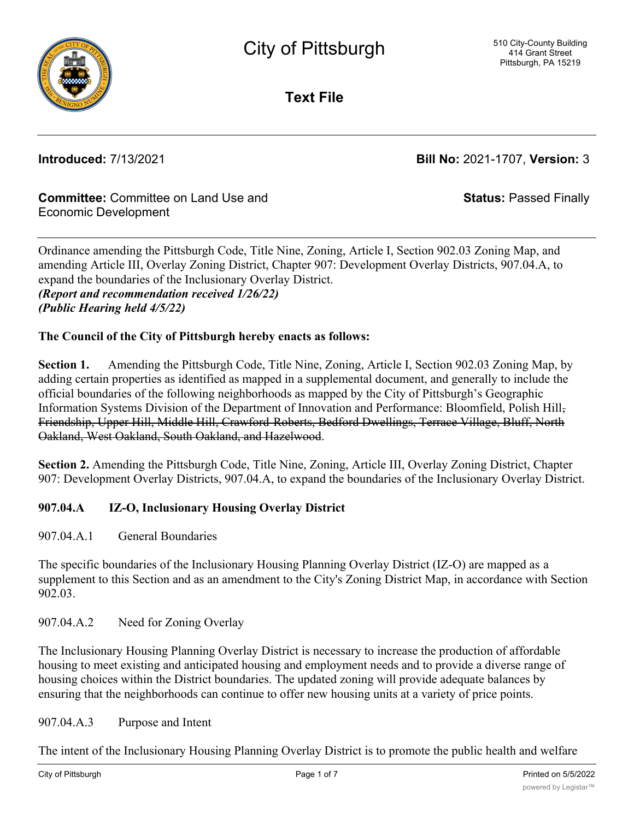

**Text File**

**Introduced:** 7/13/2021 **Bill No:** 2021-1707, **Version:** 3

### **Committee:** Committee on Land Use and Economic Development

**Status:** Passed Finally

Ordinance amending the Pittsburgh Code, Title Nine, Zoning, Article I, Section 902.03 Zoning Map, and amending Article III, Overlay Zoning District, Chapter 907: Development Overlay Districts, 907.04.A, to expand the boundaries of the Inclusionary Overlay District. *(Report and recommendation received 1/26/22) (Public Hearing held 4/5/22)*

### **The Council of the City of Pittsburgh hereby enacts as follows:**

**Section 1.** Amending the Pittsburgh Code, Title Nine, Zoning, Article I, Section 902.03 Zoning Map, by adding certain properties as identified as mapped in a supplemental document, and generally to include the official boundaries of the following neighborhoods as mapped by the City of Pittsburgh's Geographic Information Systems Division of the Department of Innovation and Performance: Bloomfield, Polish Hill, Friendship, Upper Hill, Middle Hill, Crawford-Roberts, Bedford Dwellings, Terrace Village, Bluff, North Oakland, West Oakland, South Oakland, and Hazelwood.

**Section 2.** Amending the Pittsburgh Code, Title Nine, Zoning, Article III, Overlay Zoning District, Chapter 907: Development Overlay Districts, 907.04.A, to expand the boundaries of the Inclusionary Overlay District.

### **907.04.A IZ-O, Inclusionary Housing Overlay District**

907.04.A.1 General Boundaries

The specific boundaries of the Inclusionary Housing Planning Overlay District (IZ-O) are mapped as a supplement to this Section and as an amendment to the City's Zoning District Map, in accordance with Section 902.03.

907.04.A.2 Need for Zoning Overlay

The Inclusionary Housing Planning Overlay District is necessary to increase the production of affordable housing to meet existing and anticipated housing and employment needs and to provide a diverse range of housing choices within the District boundaries. The updated zoning will provide adequate balances by ensuring that the neighborhoods can continue to offer new housing units at a variety of price points.

### 907.04.A.3 Purpose and Intent

The intent of the Inclusionary Housing Planning Overlay District is to promote the public health and welfare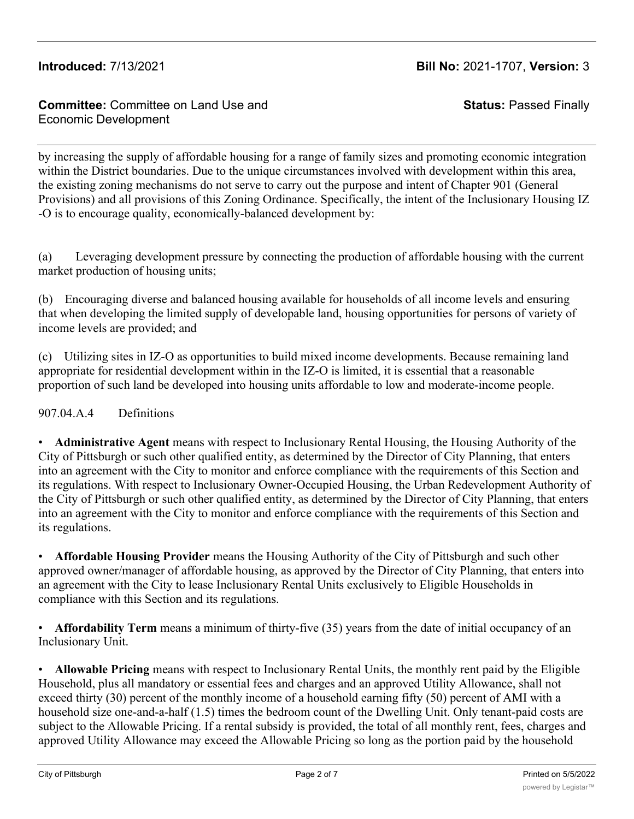### **Committee:** Committee on Land Use and Economic Development

**Status:** Passed Finally

by increasing the supply of affordable housing for a range of family sizes and promoting economic integration within the District boundaries. Due to the unique circumstances involved with development within this area, the existing zoning mechanisms do not serve to carry out the purpose and intent of Chapter 901 (General Provisions) and all provisions of this Zoning Ordinance. Specifically, the intent of the Inclusionary Housing IZ -O is to encourage quality, economically-balanced development by:

(a) Leveraging development pressure by connecting the production of affordable housing with the current market production of housing units;

(b) Encouraging diverse and balanced housing available for households of all income levels and ensuring that when developing the limited supply of developable land, housing opportunities for persons of variety of income levels are provided; and

(c) Utilizing sites in IZ-O as opportunities to build mixed income developments. Because remaining land appropriate for residential development within in the IZ-O is limited, it is essential that a reasonable proportion of such land be developed into housing units affordable to low and moderate-income people.

907.04.A.4 Definitions

• **Administrative Agent** means with respect to Inclusionary Rental Housing, the Housing Authority of the City of Pittsburgh or such other qualified entity, as determined by the Director of City Planning, that enters into an agreement with the City to monitor and enforce compliance with the requirements of this Section and its regulations. With respect to Inclusionary Owner-Occupied Housing, the Urban Redevelopment Authority of the City of Pittsburgh or such other qualified entity, as determined by the Director of City Planning, that enters into an agreement with the City to monitor and enforce compliance with the requirements of this Section and its regulations.

• **Affordable Housing Provider** means the Housing Authority of the City of Pittsburgh and such other approved owner/manager of affordable housing, as approved by the Director of City Planning, that enters into an agreement with the City to lease Inclusionary Rental Units exclusively to Eligible Households in compliance with this Section and its regulations.

• **Affordability Term** means a minimum of thirty-five (35) years from the date of initial occupancy of an Inclusionary Unit.

• **Allowable Pricing** means with respect to Inclusionary Rental Units, the monthly rent paid by the Eligible Household, plus all mandatory or essential fees and charges and an approved Utility Allowance, shall not exceed thirty (30) percent of the monthly income of a household earning fifty (50) percent of AMI with a household size one-and-a-half (1.5) times the bedroom count of the Dwelling Unit. Only tenant-paid costs are subject to the Allowable Pricing. If a rental subsidy is provided, the total of all monthly rent, fees, charges and approved Utility Allowance may exceed the Allowable Pricing so long as the portion paid by the household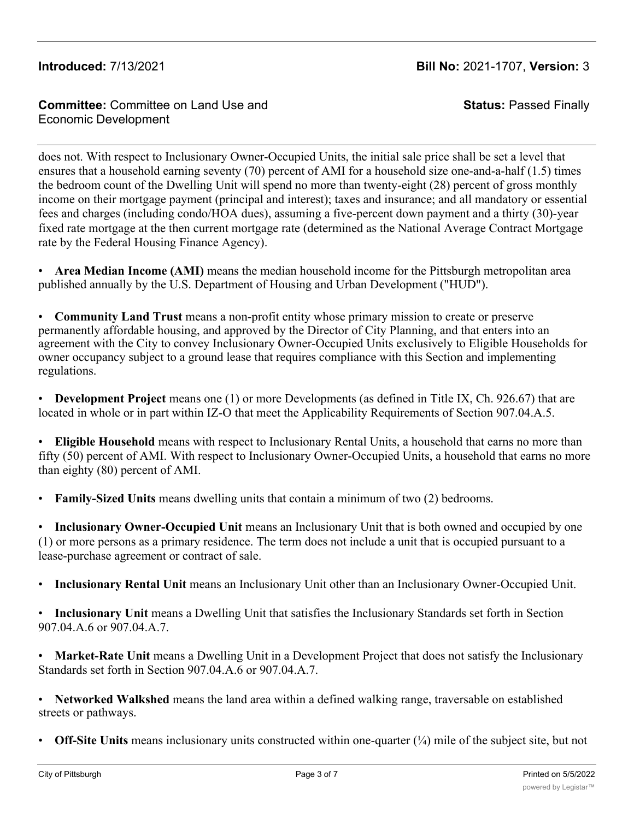### **Committee:** Committee on Land Use and Economic Development

**Status:** Passed Finally

does not. With respect to Inclusionary Owner-Occupied Units, the initial sale price shall be set a level that ensures that a household earning seventy (70) percent of AMI for a household size one-and-a-half (1.5) times the bedroom count of the Dwelling Unit will spend no more than twenty-eight (28) percent of gross monthly income on their mortgage payment (principal and interest); taxes and insurance; and all mandatory or essential fees and charges (including condo/HOA dues), assuming a five-percent down payment and a thirty (30)-year fixed rate mortgage at the then current mortgage rate (determined as the National Average Contract Mortgage rate by the Federal Housing Finance Agency).

• **Area Median Income (AMI)** means the median household income for the Pittsburgh metropolitan area published annually by the U.S. Department of Housing and Urban Development ("HUD").

• **Community Land Trust** means a non-profit entity whose primary mission to create or preserve permanently affordable housing, and approved by the Director of City Planning, and that enters into an agreement with the City to convey Inclusionary Owner-Occupied Units exclusively to Eligible Households for owner occupancy subject to a ground lease that requires compliance with this Section and implementing regulations.

• **Development Project** means one (1) or more Developments (as defined in Title IX, Ch. 926.67) that are located in whole or in part within IZ-O that meet the Applicability Requirements of Section 907.04.A.5.

• **Eligible Household** means with respect to Inclusionary Rental Units, a household that earns no more than fifty (50) percent of AMI. With respect to Inclusionary Owner-Occupied Units, a household that earns no more than eighty (80) percent of AMI.

• **Family-Sized Units** means dwelling units that contain a minimum of two (2) bedrooms.

• **Inclusionary Owner-Occupied Unit** means an Inclusionary Unit that is both owned and occupied by one (1) or more persons as a primary residence. The term does not include a unit that is occupied pursuant to a lease-purchase agreement or contract of sale.

• **Inclusionary Rental Unit** means an Inclusionary Unit other than an Inclusionary Owner-Occupied Unit.

• **Inclusionary Unit** means a Dwelling Unit that satisfies the Inclusionary Standards set forth in Section 907.04.A.6 or 907.04.A.7.

• **Market-Rate Unit** means a Dwelling Unit in a Development Project that does not satisfy the Inclusionary Standards set forth in Section 907.04.A.6 or 907.04.A.7.

• **Networked Walkshed** means the land area within a defined walking range, traversable on established streets or pathways.

**Off-Site Units** means inclusionary units constructed within one-quarter ( $\frac{1}{4}$ ) mile of the subject site, but not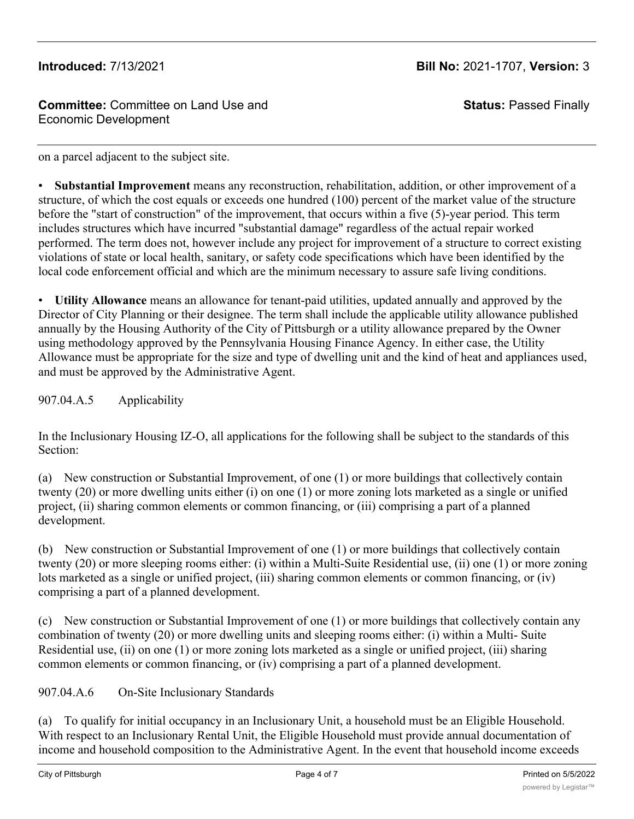### **Committee:** Committee on Land Use and Economic Development

**Status:** Passed Finally

on a parcel adjacent to the subject site.

• **Substantial Improvement** means any reconstruction, rehabilitation, addition, or other improvement of a structure, of which the cost equals or exceeds one hundred (100) percent of the market value of the structure before the "start of construction" of the improvement, that occurs within a five (5)-year period. This term includes structures which have incurred "substantial damage" regardless of the actual repair worked performed. The term does not, however include any project for improvement of a structure to correct existing violations of state or local health, sanitary, or safety code specifications which have been identified by the local code enforcement official and which are the minimum necessary to assure safe living conditions.

• **Utility Allowance** means an allowance for tenant-paid utilities, updated annually and approved by the Director of City Planning or their designee. The term shall include the applicable utility allowance published annually by the Housing Authority of the City of Pittsburgh or a utility allowance prepared by the Owner using methodology approved by the Pennsylvania Housing Finance Agency. In either case, the Utility Allowance must be appropriate for the size and type of dwelling unit and the kind of heat and appliances used, and must be approved by the Administrative Agent.

907.04.A.5 Applicability

In the Inclusionary Housing IZ-O, all applications for the following shall be subject to the standards of this Section:

(a) New construction or Substantial Improvement, of one (1) or more buildings that collectively contain twenty (20) or more dwelling units either (i) on one (1) or more zoning lots marketed as a single or unified project, (ii) sharing common elements or common financing, or (iii) comprising a part of a planned development.

(b) New construction or Substantial Improvement of one (1) or more buildings that collectively contain twenty (20) or more sleeping rooms either: (i) within a Multi-Suite Residential use, (ii) one (1) or more zoning lots marketed as a single or unified project, (iii) sharing common elements or common financing, or (iv) comprising a part of a planned development.

(c) New construction or Substantial Improvement of one (1) or more buildings that collectively contain any combination of twenty (20) or more dwelling units and sleeping rooms either: (i) within a Multi- Suite Residential use, (ii) on one (1) or more zoning lots marketed as a single or unified project, (iii) sharing common elements or common financing, or (iv) comprising a part of a planned development.

907.04.A.6 On-Site Inclusionary Standards

(a) To qualify for initial occupancy in an Inclusionary Unit, a household must be an Eligible Household. With respect to an Inclusionary Rental Unit, the Eligible Household must provide annual documentation of income and household composition to the Administrative Agent. In the event that household income exceeds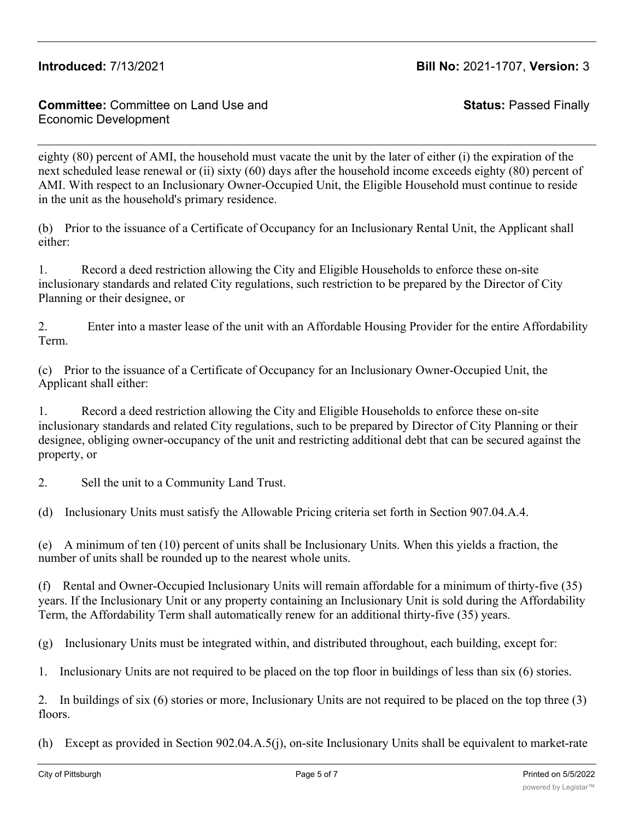### **Committee:** Committee on Land Use and Economic Development

**Status:** Passed Finally

eighty (80) percent of AMI, the household must vacate the unit by the later of either (i) the expiration of the next scheduled lease renewal or (ii) sixty (60) days after the household income exceeds eighty (80) percent of AMI. With respect to an Inclusionary Owner-Occupied Unit, the Eligible Household must continue to reside in the unit as the household's primary residence.

(b) Prior to the issuance of a Certificate of Occupancy for an Inclusionary Rental Unit, the Applicant shall either:

1. Record a deed restriction allowing the City and Eligible Households to enforce these on-site inclusionary standards and related City regulations, such restriction to be prepared by the Director of City Planning or their designee, or

2. Enter into a master lease of the unit with an Affordable Housing Provider for the entire Affordability Term.

(c) Prior to the issuance of a Certificate of Occupancy for an Inclusionary Owner-Occupied Unit, the Applicant shall either:

1. Record a deed restriction allowing the City and Eligible Households to enforce these on-site inclusionary standards and related City regulations, such to be prepared by Director of City Planning or their designee, obliging owner-occupancy of the unit and restricting additional debt that can be secured against the property, or

2. Sell the unit to a Community Land Trust.

(d) Inclusionary Units must satisfy the Allowable Pricing criteria set forth in Section 907.04.A.4.

(e) A minimum of ten (10) percent of units shall be Inclusionary Units. When this yields a fraction, the number of units shall be rounded up to the nearest whole units.

(f) Rental and Owner-Occupied Inclusionary Units will remain affordable for a minimum of thirty-five (35) years. If the Inclusionary Unit or any property containing an Inclusionary Unit is sold during the Affordability Term, the Affordability Term shall automatically renew for an additional thirty-five (35) years.

(g) Inclusionary Units must be integrated within, and distributed throughout, each building, except for:

1. Inclusionary Units are not required to be placed on the top floor in buildings of less than six (6) stories.

2. In buildings of six (6) stories or more, Inclusionary Units are not required to be placed on the top three (3) floors.

(h) Except as provided in Section 902.04.A.5(j), on-site Inclusionary Units shall be equivalent to market-rate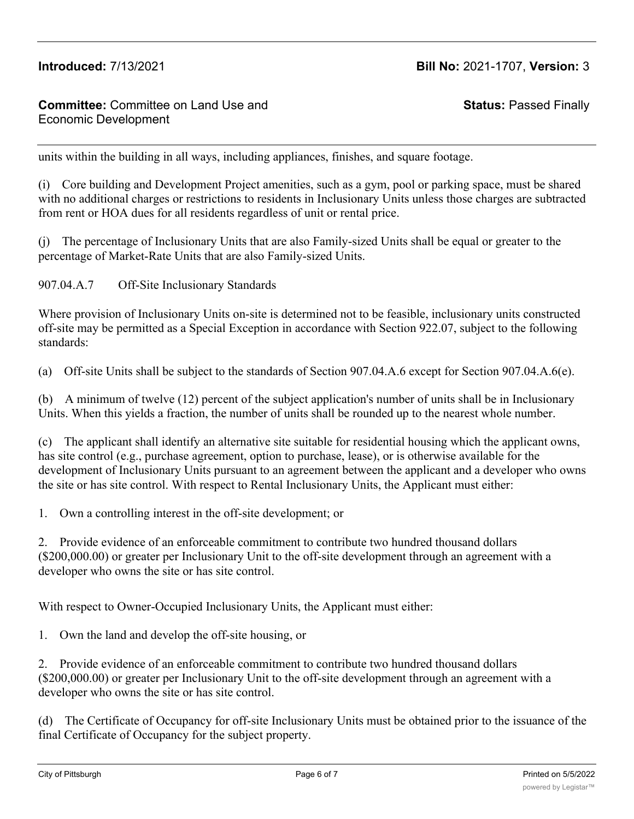### **Committee:** Committee on Land Use and Economic Development

**Status:** Passed Finally

units within the building in all ways, including appliances, finishes, and square footage.

(i) Core building and Development Project amenities, such as a gym, pool or parking space, must be shared with no additional charges or restrictions to residents in Inclusionary Units unless those charges are subtracted from rent or HOA dues for all residents regardless of unit or rental price.

(j) The percentage of Inclusionary Units that are also Family-sized Units shall be equal or greater to the percentage of Market-Rate Units that are also Family-sized Units.

907.04.A.7 Off-Site Inclusionary Standards

Where provision of Inclusionary Units on-site is determined not to be feasible, inclusionary units constructed off-site may be permitted as a Special Exception in accordance with Section 922.07, subject to the following standards:

(a) Off-site Units shall be subject to the standards of Section 907.04.A.6 except for Section 907.04.A.6(e).

(b) A minimum of twelve (12) percent of the subject application's number of units shall be in Inclusionary Units. When this yields a fraction, the number of units shall be rounded up to the nearest whole number.

(c) The applicant shall identify an alternative site suitable for residential housing which the applicant owns, has site control (e.g., purchase agreement, option to purchase, lease), or is otherwise available for the development of Inclusionary Units pursuant to an agreement between the applicant and a developer who owns the site or has site control. With respect to Rental Inclusionary Units, the Applicant must either:

1. Own a controlling interest in the off-site development; or

2. Provide evidence of an enforceable commitment to contribute two hundred thousand dollars (\$200,000.00) or greater per Inclusionary Unit to the off-site development through an agreement with a developer who owns the site or has site control.

With respect to Owner-Occupied Inclusionary Units, the Applicant must either:

1. Own the land and develop the off-site housing, or

2. Provide evidence of an enforceable commitment to contribute two hundred thousand dollars (\$200,000.00) or greater per Inclusionary Unit to the off-site development through an agreement with a developer who owns the site or has site control.

(d) The Certificate of Occupancy for off-site Inclusionary Units must be obtained prior to the issuance of the final Certificate of Occupancy for the subject property.